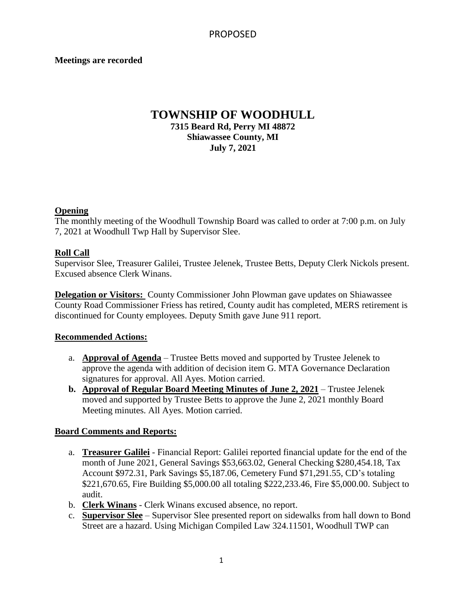### **Meetings are recorded**

## **TOWNSHIP OF WOODHULL 7315 Beard Rd, Perry MI 48872 Shiawassee County, MI July 7, 2021**

### **Opening**

The monthly meeting of the Woodhull Township Board was called to order at 7:00 p.m. on July 7, 2021 at Woodhull Twp Hall by Supervisor Slee.

### **Roll Call**

Supervisor Slee, Treasurer Galilei, Trustee Jelenek, Trustee Betts, Deputy Clerk Nickols present. Excused absence Clerk Winans.

**Delegation or Visitors:** County Commissioner John Plowman gave updates on Shiawassee County Road Commissioner Friess has retired, County audit has completed, MERS retirement is discontinued for County employees. Deputy Smith gave June 911 report.

### **Recommended Actions:**

- a. **Approval of Agenda** Trustee Betts moved and supported by Trustee Jelenek to approve the agenda with addition of decision item G. MTA Governance Declaration signatures for approval. All Ayes. Motion carried.
- **b. Approval of Regular Board Meeting Minutes of June 2, 2021** Trustee Jelenek moved and supported by Trustee Betts to approve the June 2, 2021 monthly Board Meeting minutes. All Ayes. Motion carried.

### **Board Comments and Reports:**

- a. **Treasurer Galilei** Financial Report: Galilei reported financial update for the end of the month of June 2021, General Savings \$53,663.02, General Checking \$280,454.18, Tax Account \$972.31, Park Savings \$5,187.06, Cemetery Fund \$71,291.55, CD's totaling \$221,670.65, Fire Building \$5,000.00 all totaling \$222,233.46, Fire \$5,000.00. Subject to audit.
- b. **Clerk Winans** Clerk Winans excused absence, no report.
- c. **Supervisor Slee** Supervisor Slee presented report on sidewalks from hall down to Bond Street are a hazard. Using Michigan Compiled Law 324.11501, Woodhull TWP can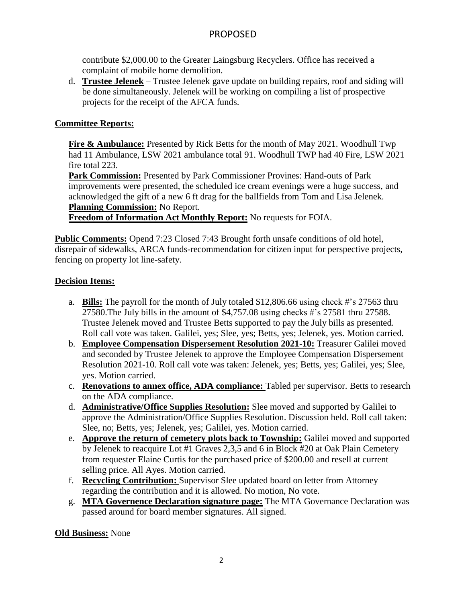## PROPOSED

contribute \$2,000.00 to the Greater Laingsburg Recyclers. Office has received a complaint of mobile home demolition.

d. **Trustee Jelenek** – Trustee Jelenek gave update on building repairs, roof and siding will be done simultaneously. Jelenek will be working on compiling a list of prospective projects for the receipt of the AFCA funds.

## **Committee Reports:**

**Fire & Ambulance:** Presented by Rick Betts for the month of May 2021. Woodhull Twp had 11 Ambulance, LSW 2021 ambulance total 91. Woodhull TWP had 40 Fire, LSW 2021 fire total 223.

**Park Commission:** Presented by Park Commissioner Provines: Hand-outs of Park improvements were presented, the scheduled ice cream evenings were a huge success, and acknowledged the gift of a new 6 ft drag for the ballfields from Tom and Lisa Jelenek. **Planning Commission:** No Report.

**Freedom of Information Act Monthly Report:** No requests for FOIA.

**Public Comments:** Opend 7:23 Closed 7:43 Brought forth unsafe conditions of old hotel, disrepair of sidewalks, ARCA funds-recommendation for citizen input for perspective projects, fencing on property lot line-safety.

### **Decision Items:**

- a. **Bills:** The payroll for the month of July totaled \$12,806.66 using check #'s 27563 thru 27580.The July bills in the amount of \$4,757.08 using checks #'s 27581 thru 27588. Trustee Jelenek moved and Trustee Betts supported to pay the July bills as presented. Roll call vote was taken. Galilei, yes; Slee, yes; Betts, yes; Jelenek, yes. Motion carried.
- b. **Employee Compensation Dispersement Resolution 2021-10:** Treasurer Galilei moved and seconded by Trustee Jelenek to approve the Employee Compensation Dispersement Resolution 2021-10. Roll call vote was taken: Jelenek, yes; Betts, yes; Galilei, yes; Slee, yes. Motion carried.
- c. **Renovations to annex office, ADA compliance:** Tabled per supervisor. Betts to research on the ADA compliance.
- d. **Administrative/Office Supplies Resolution:** Slee moved and supported by Galilei to approve the Administration/Office Supplies Resolution. Discussion held. Roll call taken: Slee, no; Betts, yes; Jelenek, yes; Galilei, yes. Motion carried.
- e. **Approve the return of cemetery plots back to Township:** Galilei moved and supported by Jelenek to reacquire Lot #1 Graves 2,3,5 and 6 in Block #20 at Oak Plain Cemetery from requester Elaine Curtis for the purchased price of \$200.00 and resell at current selling price. All Ayes. Motion carried.
- f. **Recycling Contribution:** Supervisor Slee updated board on letter from Attorney regarding the contribution and it is allowed. No motion, No vote.
- g. **MTA Governence Declaration signature page:** The MTA Governance Declaration was passed around for board member signatures. All signed.

**Old Business:** None